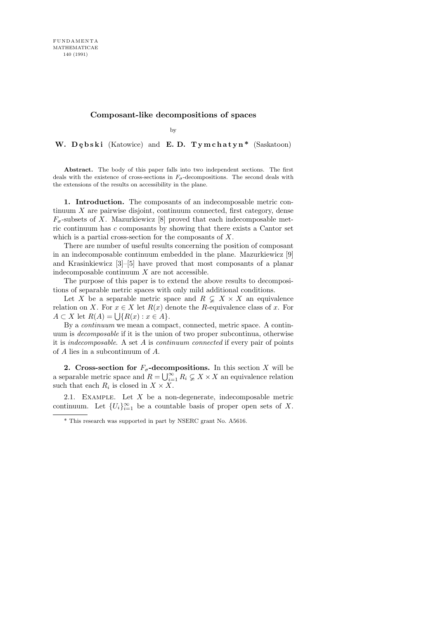## Composant-like decompositions of spaces

by

W. Debski (Katowice) and E.D. Tymchatyn\* (Saskatoon)

Abstract. The body of this paper falls into two independent sections. The first deals with the existence of cross-sections in  $F_{\sigma}$ -decompositions. The second deals with the extensions of the results on accessibility in the plane.

1. Introduction. The composants of an indecomposable metric continuum X are pairwise disjoint, continuum connected, first category, dense  $F_{\sigma}$ -subsets of X. Mazurkiewicz [8] proved that each indecomposable metric continuum has c composants by showing that there exists a Cantor set which is a partial cross-section for the composants of X.

There are number of useful results concerning the position of composant in an indecomposable continuum embedded in the plane. Mazurkiewicz [9] and Krasinkiewicz [3]–[5] have proved that most composants of a planar indecomposable continuum X are not accessible.

The purpose of this paper is to extend the above results to decompositions of separable metric spaces with only mild additional conditions.

Let X be a separable metric space and  $R \subsetneq X \times X$  an equivalence relation on X. For  $x \in X$  let  $R(x)$  denote the R-equivalence class of x. For  $A \subset X$  let  $R(A) = \bigcup \{ R(x) : x \in A \}.$ 

By a continuum we mean a compact, connected, metric space. A continuum is decomposable if it is the union of two proper subcontinua, otherwise it is *indecomposable.* A set  $A$  is *continuum connected* if every pair of points of A lies in a subcontinuum of A.

2. Cross-section for  $F_{\sigma}$ -decompositions. In this section X will be a separable metric space and  $R = \bigcup_{i=1}^{\infty} R_i \subsetneq X \times X$  an equivalence relation such that each  $R_i$  is closed in  $X \times X$ .

2.1. EXAMPLE. Let  $X$  be a non-degenerate, indecomposable metric continuum. Let  $\{U_i\}_{i=1}^{\infty}$  be a countable basis of proper open sets of X.

<sup>\*</sup> This research was supported in part by NSERC grant No. A5616.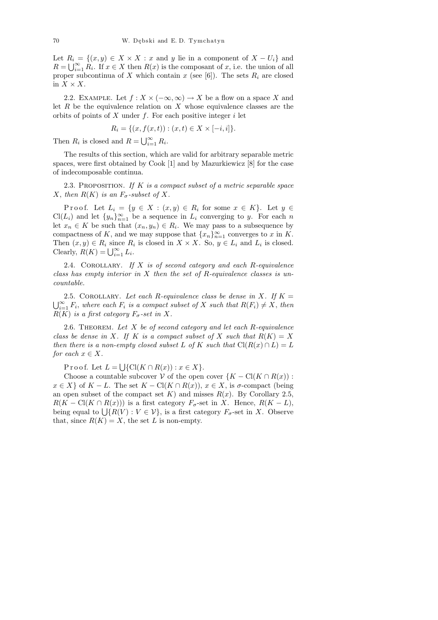Let  $R_i = \{(x, y) \in X \times X : x \text{ and } y \text{ lie in a component of } X - U_i\}$  and  $R = \bigcup_{i=1}^{\infty} R_i$ . If  $x \in X$  then  $R(x)$  is the composant of x, i.e. the union of all proper subcontinua of X which contain x (see [6]). The sets  $R_i$  are closed in  $X \times X$ .

2.2. EXAMPLE. Let  $f: X \times (-\infty, \infty) \to X$  be a flow on a space X and let  $R$  be the equivalence relation on  $X$  whose equivalence classes are the orbits of points of  $X$  under  $f$ . For each positive integer  $i$  let

$$
R_i = \{(x, f(x, t)) : (x, t) \in X \times [-i, i]\}.
$$

Then  $R_i$  is closed and  $R = \bigcup_{i=1}^{\infty} R_i$ .

The results of this section, which are valid for arbitrary separable metric spaces, were first obtained by Cook [1] and by Mazurkiewicz [8] for the case of indecomposable continua.

2.3. PROPOSITION. If  $K$  is a compact subset of a metric separable space X, then  $R(K)$  is an  $F_{\sigma}$ -subset of X.

Proof. Let  $L_i = \{y \in X : (x, y) \in R_i \text{ for some } x \in K\}$ . Let  $y \in R_i$  $Cl(L_i)$  and let  $\{y_n\}_{n=1}^{\infty}$  be a sequence in  $L_i$  converging to y. For each n let  $x_n \in K$  be such that  $(x_n, y_n) \in R_i$ . We may pass to a subsequence by compactness of K, and we may suppose that  ${x_n}_{n=1}^{\infty}$  converges to x in K. Then  $(x, y) \in R_i$  since  $R_i$  is closed in  $X \times X$ . So,  $y \in L_i$  and  $L_i$  is closed. Clearly,  $R(K) = \bigcup_{i=1}^{\infty} L_i$ .

2.4. COROLLARY. If  $X$  is of second category and each  $R$ -equivalence class has empty interior in  $X$  then the set of R-equivalence classes is uncountable.

2.5. COROLLARY. Let each R-equivalence class be dense in X. If  $K =$  $\bigcup_{i=1}^{\infty} F_i$ , where each  $F_i$  is a compact subset of X such that  $R(F_i) \neq X$ , then  $R(K)$  is a first category  $F_{\sigma}$ -set in X.

2.6. THEOREM. Let  $X$  be of second category and let each  $R$ -equivalence class be dense in X. If K is a compact subset of X such that  $R(K) = X$ then there is a non-empty closed subset L of K such that  $Cl(R(x) \cap L) = L$ for each  $x \in X$ .

Proof. Let  $L = \bigcup \{ \text{Cl}(K \cap R(x)) : x \in X \}.$ 

Choose a countable subcover V of the open cover  $\{K - \text{Cl}(K \cap R(x))\}$ :  $x \in X$  of  $K - L$ . The set  $K - \text{Cl}(K \cap R(x))$ ,  $x \in X$ , is  $\sigma$ -compact (being an open subset of the compact set K) and misses  $R(x)$ . By Corollary 2.5,  $R(K - \text{Cl}(K \cap R(x)))$  is a first category  $F_{\sigma}$ -set in X. Hence,  $R(K - L)$ , being equal to  $\bigcup \{ R(V) : V \in \mathcal{V} \}$ , is a first category  $F_{\sigma}$ -set in X. Observe that, since  $R(K) = X$ , the set L is non-empty.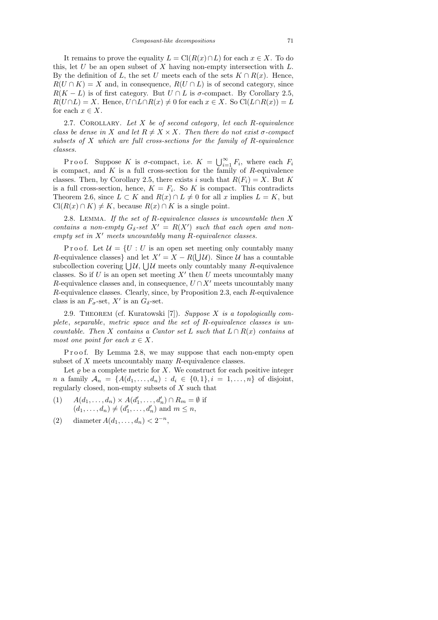It remains to prove the equality  $L = \text{Cl}(R(x) \cap L)$  for each  $x \in X$ . To do this, let  $U$  be an open subset of  $X$  having non-empty intersection with  $L$ . By the definition of L, the set U meets each of the sets  $K \cap R(x)$ . Hence,  $R(U \cap K) = X$  and, in consequence,  $R(U \cap L)$  is of second category, since  $R(K - L)$  is of first category. But  $U \cap L$  is  $\sigma$ -compact. By Corollary 2.5,  $R(U \cap L) = X$ . Hence,  $U \cap L \cap R(x) \neq 0$  for each  $x \in X$ . So  $Cl(L \cap R(x)) = L$ for each  $x \in X$ .

2.7. COROLLARY. Let  $X$  be of second category, let each  $R$ -equivalence class be dense in X and let  $R \neq X \times X$ . Then there do not exist  $\sigma$ -compact subsets of  $X$  which are full cross-sections for the family of  $R$ -equivalence classes.

P r o o f. Suppose K is  $\sigma$ -compact, i.e.  $K = \bigcup_{i=1}^{\infty} F_i$ , where each  $F_i$ is compact, and  $K$  is a full cross-section for the family of  $R$ -equivalence classes. Then, by Corollary 2.5, there exists i such that  $R(F_i) = X$ . But K is a full cross-section, hence,  $K = F_i$ . So K is compact. This contradicts Theorem 2.6, since  $L \subset K$  and  $R(x) \cap L \neq 0$  for all x implies  $L = K$ , but  $Cl(R(x) \cap K) \neq K$ , because  $R(x) \cap K$  is a single point.

2.8. LEMMA. If the set of R-equivalence classes is uncountable then  $X$ contains a non-empty  $G_{\delta}$ -set  $X' = R(X')$  such that each open and nonempty set in  $X'$  meets uncountably many R-equivalence classes.

P r o o f. Let  $\mathcal{U} = \{U : U$  is an open set meeting only countably many R-equivalence classes} and let  $X' = X - R(\bigcup \mathcal{U})$ . Since  $\mathcal{U}$  has a countable subcollection covering  $\bigcup \mathcal{U}$ ,  $\bigcup \mathcal{U}$  meets only countably many R-equivalence classes. So if  $U$  is an open set meeting  $X'$  then  $U$  meets uncountably many R-equivalence classes and, in consequence,  $U \cap X'$  meets uncountably many R-equivalence classes. Clearly, since, by Proposition 2.3, each R-equivalence class is an  $F_{\sigma}$ -set, X' is an  $G_{\delta}$ -set.

2.9. THEOREM (cf. Kuratowski [7]). Suppose X is a topologically complete, separable, metric space and the set of R-equivalence classes is uncountable. Then X contains a Cantor set L such that  $L \cap R(x)$  contains at most one point for each  $x \in X$ .

P roof. By Lemma 2.8, we may suppose that each non-empty open subset of X meets uncountably many R-equivalence classes.

Let  $\varrho$  be a complete metric for X. We construct for each positive integer n a family  $A_n = \{A(d_1, ..., d_n) : d_i \in \{0,1\}, i = 1, ..., n\}$  of disjoint, regularly closed, non-empty subsets of  $X$  such that

- (1)  $A(d_1, ..., d_n) \times A(d'_1, ..., d'_n) \cap R_m = \emptyset$  if  $(d_1, ..., d_n) \neq (d'_1, ..., d'_n)$  and  $m \leq n$ ,
- (2) diameter  $A(d_1, ..., d_n) < 2^{-n}$ ,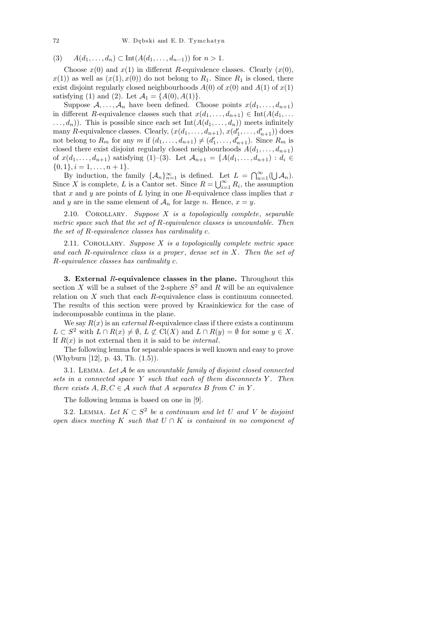(3)  $A(d_1, \ldots, d_n) \subset \text{Int}(A(d_1, \ldots, d_{n-1}))$  for  $n > 1$ .

Choose  $x(0)$  and  $x(1)$  in different R-equivalence classes. Clearly  $(x(0),$  $x(1)$  as well as  $(x(1), x(0))$  do not belong to  $R_1$ . Since  $R_1$  is closed, there exist disjoint regularly closed neighbourhoods  $A(0)$  of  $x(0)$  and  $A(1)$  of  $x(1)$ satisfying (1) and (2). Let  $A_1 = \{A(0), A(1)\}.$ 

Suppose  $A, \ldots, A_n$  have been defined. Choose points  $x(d_1, \ldots, d_{n+1})$ in different R-equivalence classes such that  $x(d_1, \ldots, d_{n+1}) \in \text{Int}(A(d_1, \ldots, d_n))$  $\dots, d_n$ ). This is possible since each set  $Int(A(d_1, \dots, d_n))$  meets infinitely many R-equivalence classes. Clearly,  $(x(d_1, \ldots, d_{n+1}), x(d'_1, \ldots, d'_{n+1}))$  does not belong to  $R_m$  for any m if  $(d_1, \ldots, d_{n+1}) \neq (d'_1, \ldots, d'_{n+1})$ . Since  $R_m$  is closed there exist disjoint regularly closed neighbourhoods  $A(d_1, \ldots, d_{n+1})$ of  $x(d_1, \ldots, d_{n+1})$  satisfying (1)–(3). Let  $\mathcal{A}_{n+1} = \{A(d_1, \ldots, d_{n+1}) : d_i \in$  $\{0, 1\}, i = 1, \ldots, n + 1\}.$ 

By induction, the family  $\{\mathcal{A}_n\}_{n=1}^{\infty}$  is defined. Let  $L = \bigcap_{n=1}^{\infty} (\bigcup \mathcal{A}_n)$ . Since X is complete, L is a Cantor set. Since  $R = \bigcup_{i=1}^{\infty} R_i$ , the assumption that x and y are points of L lying in one R-equivalence class implies that  $x$ and y are in the same element of  $\mathcal{A}_n$  for large n. Hence,  $x = y$ .

2.10. COROLLARY. Suppose  $X$  is a topologically complete, separable metric space such that the set of  $R$ -equivalence classes is uncountable. Then the set of R-equivalence classes has cardinality c.

2.11. COROLLARY. Suppose  $X$  is a topologically complete metric space and each R-equivalence class is a proper, dense set in  $X$ . Then the set of R-equivalence classes has cardinality c.

3. External R-equivalence classes in the plane. Throughout this section X will be a subset of the 2-sphere  $S^2$  and R will be an equivalence relation on X such that each R-equivalence class is continuum connected. The results of this section were proved by Krasinkiewicz for the case of indecomposable continua in the plane.

We say  $R(x)$  is an *external* R-equivalence class if there exists a continuum  $L \subset S^2$  with  $L \cap R(x) \neq \emptyset$ ,  $L \not\subset \mathrm{Cl}(X)$  and  $L \cap R(y) = \emptyset$  for some  $y \in X$ . If  $R(x)$  is not external then it is said to be *internal*.

The following lemma for separable spaces is well known and easy to prove (Whyburn [12], p. 43, Th. (1.5)).

3.1. Lemma. Let A be an uncountable family of disjoint closed connected sets in a connected space  $Y$  such that each of them disconnects  $Y$ . Then there exists  $A, B, C \in \mathcal{A}$  such that A separates B from C in Y.

The following lemma is based on one in [9].

3.2. LEMMA. Let  $K \subset S^2$  be a continuum and let U and V be disjoint open discs meeting K such that  $U \cap K$  is contained in no component of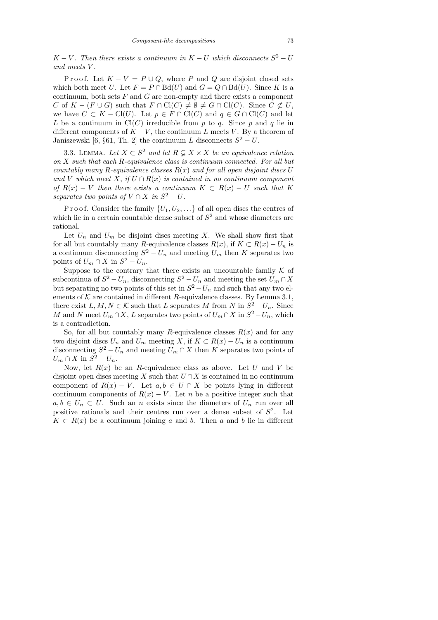$K - V$ . Then there exists a continuum in  $K - U$  which disconnects  $S^2 - U$ and meets V .

P r o o f. Let  $K - V = P \cup Q$ , where P and Q are disjoint closed sets which both meet U. Let  $F = P \cap Bd(U)$  and  $G = Q \cap Bd(U)$ . Since K is a continuum, both sets  $F$  and  $G$  are non-empty and there exists a component C of  $K - (F \cup G)$  such that  $F \cap \text{Cl}(C) \neq \emptyset \neq G \cap \text{Cl}(C)$ . Since  $C \not\subset U$ , we have  $C \subset K - \text{Cl}(U)$ . Let  $p \in F \cap \text{Cl}(C)$  and  $q \in G \cap \text{Cl}(C)$  and let L be a continuum in  $Cl(C)$  irreducible from p to q. Since p and q lie in different components of  $K - V$ , the continuum L meets V. By a theorem of Janiszewski [6,  $\S 61$ , Th. 2] the continuum L disconnects  $S^2 - U$ .

3.3. LEMMA. Let  $X \subset S^2$  and let  $R \subsetneq X \times X$  be an equivalence relation on X such that each R-equivalence class is continuum connected. For all but countably many R-equivalence classes  $R(x)$  and for all open disjoint discs U and V which meet X, if  $U \cap R(x)$  is contained in no continuum component of  $R(x) - V$  then there exists a continuum  $K \subset R(x) - U$  such that K separates two points of  $V \cap X$  in  $S^2 - U$ .

P r o o f. Consider the family  $\{U_1, U_2, \ldots\}$  of all open discs the centres of which lie in a certain countable dense subset of  $S<sup>2</sup>$  and whose diameters are rational.

Let  $U_n$  and  $U_m$  be disjoint discs meeting X. We shall show first that for all but countably many R-equivalence classes  $R(x)$ , if  $K \subset R(x) - U_n$  is a continuum disconnecting  $S^2 - U_n$  and meeting  $U_m$  then K separates two points of  $U_m \cap X$  in  $S^2 - U_n$ .

Suppose to the contrary that there exists an uncountable family  $K$  of subcontinua of  $S^2 - U_n$ , disconnecting  $S^2 - U_n$  and meeting the set  $U_m \cap X$ but separating no two points of this set in  $S^2 - U_n$  and such that any two elements of  $K$  are contained in different R-equivalence classes. By Lemma 3.1, there exist  $L, M, N \in \mathcal{K}$  such that L separates M from N in  $S^2 - U_n$ . Since M and N meet  $U_m \cap X$ , L separates two points of  $U_m \cap X$  in  $S^2 - U_n$ , which is a contradiction.

So, for all but countably many R-equivalence classes  $R(x)$  and for any two disjoint discs  $U_n$  and  $U_m$  meeting X, if  $K \subset R(x) - U_n$  is a continuum disconnecting  $S^2 - U_n$  and meeting  $U_m \cap X$  then K separates two points of  $U_m \cap X$  in  $S^2 - U_n$ .

Now, let  $R(x)$  be an R-equivalence class as above. Let U and V be disjoint open discs meeting X such that  $U \cap X$  is contained in no continuum component of  $R(x) - V$ . Let  $a, b \in U \cap X$  be points lying in different continuum components of  $R(x) - V$ . Let n be a positive integer such that  $a, b \in U_n \subset U$ . Such an n exists since the diameters of  $U_n$  run over all positive rationals and their centres run over a dense subset of  $S^2$ . Let  $K \subset R(x)$  be a continuum joining a and b. Then a and b lie in different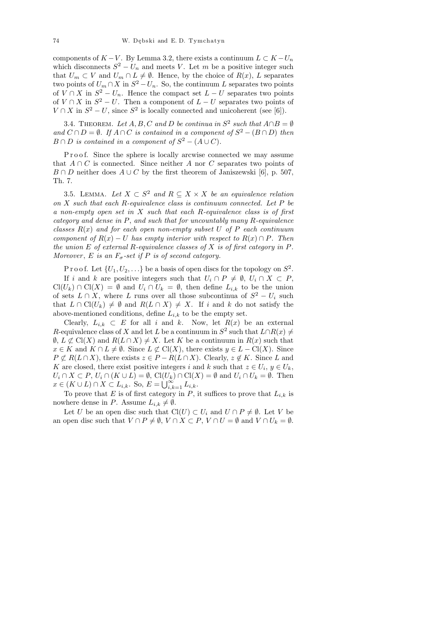components of  $K - V$ . By Lemma 3.2, there exists a continuum  $L \subset K - U_n$ which disconnects  $S^2 - U_n$  and meets V. Let m be a positive integer such that  $U_m \subset V$  and  $U_m \cap L \neq \emptyset$ . Hence, by the choice of  $R(x)$ , L separates two points of  $U_m \cap X$  in  $S^2 - U_n$ . So, the continuum L separates two points of  $V \cap X$  in  $S^2 - U_n$ . Hence the compact set  $L - U$  separates two points of  $V \cap X$  in  $S^2 - U$ . Then a component of  $L - U$  separates two points of  $V \cap X$  in  $S^2 - U$ , since  $S^2$  is locally connected and unicoherent (see [6]).

3.4. THEOREM. Let  $A, B, C$  and D be continua in  $S^2$  such that  $A \cap B = \emptyset$ and  $C \cap D = \emptyset$ . If  $A \cap C$  is contained in a component of  $S^2 - (B \cap D)$  then  $B \cap D$  is contained in a component of  $S^2 - (A \cup C)$ .

P r o o f. Since the sphere is locally arcwise connected we may assume that  $A \cap C$  is connected. Since neither A nor C separates two points of  $B \cap D$  neither does  $A \cup C$  by the first theorem of Janiszewski [6], p. 507, Th. 7.

3.5. LEMMA. Let  $X \subset S^2$  and  $R \subseteq X \times X$  be an equivalence relation on X such that each R-equivalence class is continuum connected. Let P be a non-empty open set in  $X$  such that each R-equivalence class is of first category and dense in P, and such that for uncountably many R-equivalence classes  $R(x)$  and for each open non-empty subset U of P each continuum component of  $R(x) - U$  has empty interior with respect to  $R(x) \cap P$ . Then the union  $E$  of external R-equivalence classes of  $X$  is of first category in  $P$ . Moreover, E is an  $F_{\sigma}$ -set if P is of second category.

P r o o f. Let  $\{U_1, U_2, \ldots\}$  be a basis of open discs for the topology on  $S^2$ . If i and k are positive integers such that  $U_i \cap P \neq \emptyset$ ,  $U_i \cap X \subset P$ ,  $Cl(U_k) \cap Cl(X) = \emptyset$  and  $U_i \cap U_k = \emptyset$ , then define  $L_{i,k}$  to be the union of sets  $L \cap X$ , where L runs over all those subcontinua of  $S^2 - U_i$  such that  $L \cap \mathrm{Cl}(U_k) \neq \emptyset$  and  $R(L \cap X) \neq X$ . If i and k do not satisfy the above-mentioned conditions, define  $L_{i,k}$  to be the empty set.

Clearly,  $L_{i,k} \subset E$  for all i and k. Now, let  $R(x)$  be an external R-equivalence class of X and let L be a continuum in  $S^2$  such that  $L \cap R(x) \neq$  $\emptyset$ ,  $L \not\subset \mathrm{Cl}(X)$  and  $R(L \cap X) \neq X$ . Let K be a continuum in  $R(x)$  such that  $x \in K$  and  $K \cap L \neq \emptyset$ . Since  $L \not\subset \mathrm{Cl}(X)$ , there exists  $y \in L - \mathrm{Cl}(X)$ . Since  $P \not\subset R(L \cap X)$ , there exists  $z \in P - R(L \cap X)$ . Clearly,  $z \notin K$ . Since L and K are closed, there exist positive integers i and k such that  $z \in U_i$ ,  $y \in U_k$ ,  $U_i \cap X \subset P$ ,  $U_i \cap (K \cup L) = \emptyset$ ,  $\text{Cl}(U_k) \cap \text{Cl}(X) = \emptyset$  and  $U_i \cap U_k = \emptyset$ . Then  $x \in (K \cup L) \cap X \subset L_{i,k}$ . So,  $E = \bigcup_{i,k=1}^{\infty} L_{i,k}$ .

To prove that E is of first category in P, it suffices to prove that  $L_{i,k}$  is nowhere dense in P. Assume  $L_{i,k} \neq \emptyset$ .

Let U be an open disc such that  $Cl(U) \subset U_i$  and  $U \cap P \neq \emptyset$ . Let V be an open disc such that  $V \cap P \neq \emptyset$ ,  $V \cap X \subset P$ ,  $V \cap U = \emptyset$  and  $V \cap U_k = \emptyset$ .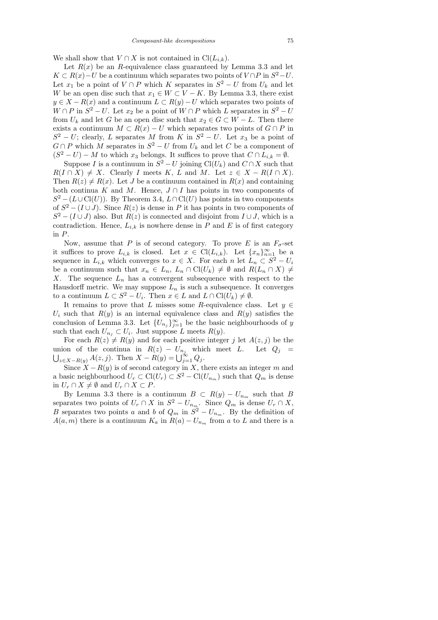We shall show that  $V \cap X$  is not contained in Cl( $L_{i,k}$ ).

Let  $R(x)$  be an R-equivalence class guaranteed by Lemma 3.3 and let  $K \subset R(x) - U$  be a continuum which separates two points of  $V \cap P$  in  $S^2 - U$ . Let  $x_1$  be a point of  $V \cap P$  which K separates in  $S^2 - U$  from  $U_k$  and let W be an open disc such that  $x_1 \in W \subset V - K$ . By Lemma 3.3, there exist  $y \in X - R(x)$  and a continuum  $L \subset R(y) - U$  which separates two points of  $W \cap P$  in  $S^2 - U$ . Let  $x_2$  be a point of  $W \cap P$  which L separates in  $S^2 - U$ from  $U_k$  and let G be an open disc such that  $x_2 \in G \subset W - L$ . Then there exists a continuum  $M \subset R(x) - U$  which separates two points of  $G \cap P$  in  $S^2 - U$ ; clearly, L separates M from K in  $S^2 - U$ . Let  $x_3$  be a point of  $G \cap P$  which M separates in  $S^2 - U$  from  $U_k$  and let C be a component of  $(S^2 - U) - M$  to which  $x_3$  belongs. It suffices to prove that  $C \cap L_{i,k} = \emptyset$ .

Suppose I is a continuum in  $S^2 - U$  joining Cl(U<sub>k</sub>) and  $C \cap X$  such that  $R(I \cap X) \neq X$ . Clearly I meets K, L and M. Let  $z \in X - R(I \cap X)$ . Then  $R(z) \neq R(x)$ . Let J be a continuum contained in  $R(x)$  and containing both continua K and M. Hence,  $J \cap I$  has points in two components of  $S^2 - (L \cup \text{Cl}(U))$ . By Theorem 3.4,  $L \cap \text{Cl}(U)$  has points in two components of  $S^2 - (I \cup J)$ . Since  $R(z)$  is dense in P it has points in two components of  $S^2 - (I \cup J)$  also. But  $R(z)$  is connected and disjoint from  $I \cup J$ , which is a contradiction. Hence,  $L_{i,k}$  is nowhere dense in P and E is of first category in P.

Now, assume that P is of second category. To prove E is an  $F_{\sigma}$ -set it suffices to prove  $L_{i,k}$  is closed. Let  $x \in \text{Cl}(L_{i,k})$ . Let  $\{x_n\}_{n=1}^{\infty}$  be a sequence in  $L_{i,k}$  which converges to  $x \in X$ . For each n let  $L_n \subset S^2 - U_i$ be a continuum such that  $x_n \in L_n$ ,  $L_n \cap \text{Cl}(U_k) \neq \emptyset$  and  $R(L_n \cap X) \neq$ X. The sequence  $L_n$  has a convergent subsequence with respect to the Hausdorff metric. We may suppose  $L_n$  is such a subsequence. It converges to a continuum  $L \subset S^2 - U_i$ . Then  $x \in L$  and  $L \cap \mathrm{Cl}(U_k) \neq \emptyset$ .

It remains to prove that L misses some R-equivalence class. Let  $y \in$  $U_i$  such that  $R(y)$  is an internal equivalence class and  $R(y)$  satisfies the conclusion of Lemma 3.3. Let  $\{U_{n_j}\}_{j=1}^{\infty}$  be the basic neighbourhoods of y such that each  $U_{n_j} \subset U_i$ . Just suppose L meets  $R(y)$ .

For each  $R(z) \neq R(y)$  and for each positive integer j let  $A(z, j)$  be the union of the continua in  $R(z) - U_{n_j}$  which meet L. Let  $Q_j =$  $\bigcup_{z \in X-R(y)} A(z,j)$ . Then  $X - R(y) = \bigcup_{j=1}^{\infty} Q_j$ .

Since  $X - R(y)$  is of second category in X, there exists an integer m and a basic neighbourhood  $U_r \subset \mathrm{Cl}(U_r) \subset S^2 - \mathrm{Cl}(U_{n_m})$  such that  $Q_m$  is dense in  $U_r \cap X \neq \emptyset$  and  $U_r \cap X \subset P$ .

By Lemma 3.3 there is a continuum  $B \subset R(y) - U_{n_m}$  such that B separates two points of  $U_r \cap X$  in  $S^2 - U_{n_m}$ . Since  $Q_m$  is dense  $U_r \cap X$ , B separates two points a and b of  $Q_m$  in  $S^2 - U_{n_m}$ . By the definition of  $A(a, m)$  there is a continuum  $K_a$  in  $R(a) - U_{n_m}$  from a to L and there is a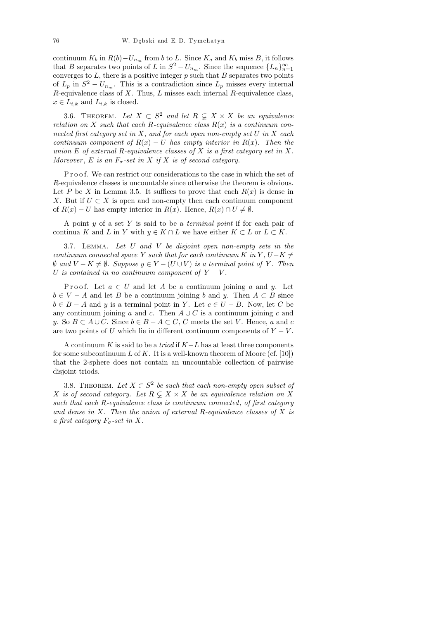continuum  $K_b$  in  $R(b) - U_{n_m}$  from b to L. Since  $K_a$  and  $K_b$  miss B, it follows that B separates two points of L in  $S^2 - U_{n_m}$ . Since the sequence  $\{L_n\}_{n=1}^{\infty}$ converges to  $L$ , there is a positive integer  $p$  such that  $B$  separates two points of  $L_p$  in  $S^2 - U_{n_m}$ . This is a contradiction since  $L_p$  misses every internal  $R$ -equivalence class of  $X$ . Thus,  $L$  misses each internal  $R$ -equivalence class,  $x \in L_{i,k}$  and  $L_{i,k}$  is closed.

3.6. THEOREM. Let  $X \subset S^2$  and let  $R \subsetneq X \times X$  be an equivalence relation on X such that each R-equivalence class  $R(x)$  is a continuum connected first category set in  $X$ , and for each open non-empty set  $U$  in  $X$  each continuum component of  $R(x) - U$  has empty interior in  $R(x)$ . Then the union E of external R-equivalence classes of X is a first category set in X. Moreover, E is an  $F_{\sigma}$ -set in X if X is of second category.

P r o o f. We can restrict our considerations to the case in which the set of R-equivalence classes is uncountable since otherwise the theorem is obvious. Let P be X in Lemma 3.5. It suffices to prove that each  $R(x)$  is dense in X. But if  $U \subset X$  is open and non-empty then each continuum component of  $R(x) - U$  has empty interior in  $R(x)$ . Hence,  $R(x) \cap U \neq \emptyset$ .

A point  $y$  of a set  $Y$  is said to be a *terminal point* if for each pair of continua K and L in Y with  $y \in K \cap L$  we have either  $K \subset L$  or  $L \subset K$ .

3.7. Lemma. Let U and V be disjoint open non-empty sets in the continuum connected space Y such that for each continuum K in Y,  $U-K \neq$  $\emptyset$  and  $V - K \neq \emptyset$ . Suppose  $y \in Y - (U \cup V)$  is a terminal point of Y. Then U is contained in no continuum component of  $Y - V$ .

P roof. Let  $a \in U$  and let A be a continuum joining a and y. Let  $b \in V - A$  and let B be a continuum joining b and y. Then  $A \subset B$  since  $b \in B - A$  and y is a terminal point in Y. Let  $c \in U - B$ . Now, let C be any continuum joining a and c. Then  $A \cup C$  is a continuum joining c and y. So  $B \subset A \cup C$ . Since  $b \in B - A \subset C$ , C meets the set V. Hence, a and c are two points of U which lie in different continuum components of  $Y - V$ .

A continuum K is said to be a *triod* if  $K-L$  has at least three components for some subcontinuum  $L$  of  $K$ . It is a well-known theorem of Moore (cf. [10]) that the 2-sphere does not contain an uncountable collection of pairwise disjoint triods.

3.8. THEOREM. Let  $X \subset S^2$  be such that each non-empty open subset of X is of second category. Let  $R \subsetneq X \times X$  be an equivalence relation on X such that each R-equivalence class is continuum connected, of first category and dense in  $X$ . Then the union of external R-equivalence classes of  $X$  is a first category  $F_{\sigma}$ -set in X.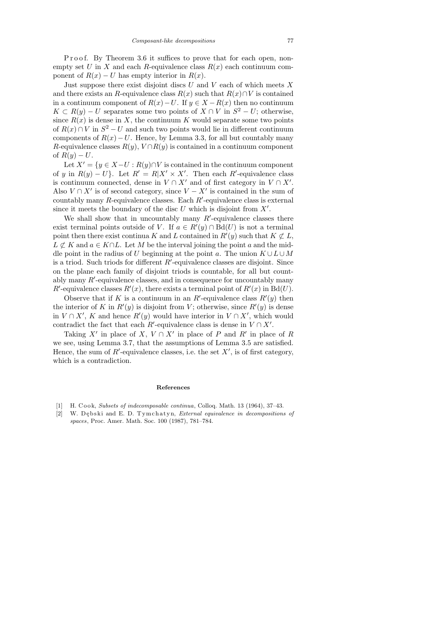P r o o f. By Theorem 3.6 it suffices to prove that for each open, nonempty set U in X and each R-equivalence class  $R(x)$  each continuum component of  $R(x) - U$  has empty interior in  $R(x)$ .

Just suppose there exist disjoint discs  $U$  and  $V$  each of which meets  $X$ and there exists an R-equivalence class  $R(x)$  such that  $R(x) \cap V$  is contained in a continuum component of  $R(x) - U$ . If  $y \in X - R(x)$  then no continuum  $K \subset R(y) - U$  separates some two points of  $X \cap V$  in  $S^2 - U$ ; otherwise, since  $R(x)$  is dense in X, the continuum K would separate some two points of  $R(x) \cap V$  in  $S^2 - U$  and such two points would lie in different continuum components of  $R(x) - U$ . Hence, by Lemma 3.3, for all but countably many R-equivalence classes  $R(y)$ ,  $V \cap R(y)$  is contained in a continuum component of  $R(y) - U$ .

Let  $X' = \{y \in X-U : R(y) \cap V \text{ is contained in the continuum component}\}$ of y in  $R(y) - U$ . Let  $R' = R|X' \times X'$ . Then each R'-equivalence class is continuum connected, dense in  $V \cap X'$  and of first category in  $V \cap X'$ . Also  $V \cap X'$  is of second category, since  $V - X'$  is contained in the sum of countably many  $R$ -equivalence classes. Each  $R'$ -equivalence class is external since it meets the boundary of the disc  $U$  which is disjoint from  $X'$ .

We shall show that in uncountably many  $R'$ -equivalence classes there exist terminal points outside of V. If  $a \in R'(y) \cap B_d(U)$  is not a terminal point then there exist continua K and L contained in  $R'(y)$  such that  $K \not\subset L$ ,  $L \not\subset K$  and  $a \in K \cap L$ . Let M be the interval joining the point a and the middle point in the radius of U beginning at the point a. The union  $K \cup L \cup M$ is a triod. Such triods for different  $R'$ -equivalence classes are disjoint. Since on the plane each family of disjoint triods is countable, for all but countably many  $R'$ -equivalence classes, and in consequence for uncountably many R'-equivalence classes  $R'(x)$ , there exists a terminal point of  $R'(x)$  in  $Bd(U)$ .

Observe that if K is a continuum in an R'-equivalence class  $R'(y)$  then the interior of K in  $R'(y)$  is disjoint from V; otherwise, since  $R'(y)$  is dense in  $V \cap X'$ , K and hence  $R'(y)$  would have interior in  $V \cap X'$ , which would contradict the fact that each  $R'$ -equivalence class is dense in  $V \cap X'$ .

Taking X' in place of X,  $V \cap X'$  in place of P and R' in place of R we see, using Lemma 3.7, that the assumptions of Lemma 3.5 are satisfied. Hence, the sum of  $R'$ -equivalence classes, i.e. the set  $X'$ , is of first category, which is a contradiction.

## References

- [1] H. Cook, Subsets of indecomposable continua, Colloq. Math. 13 (1964), 37–43.
- [2] W. Dębski and E. D. Tymchatyn, External equivalence in decompositions of spaces, Proc. Amer. Math. Soc. 100 (1987), 781–784.